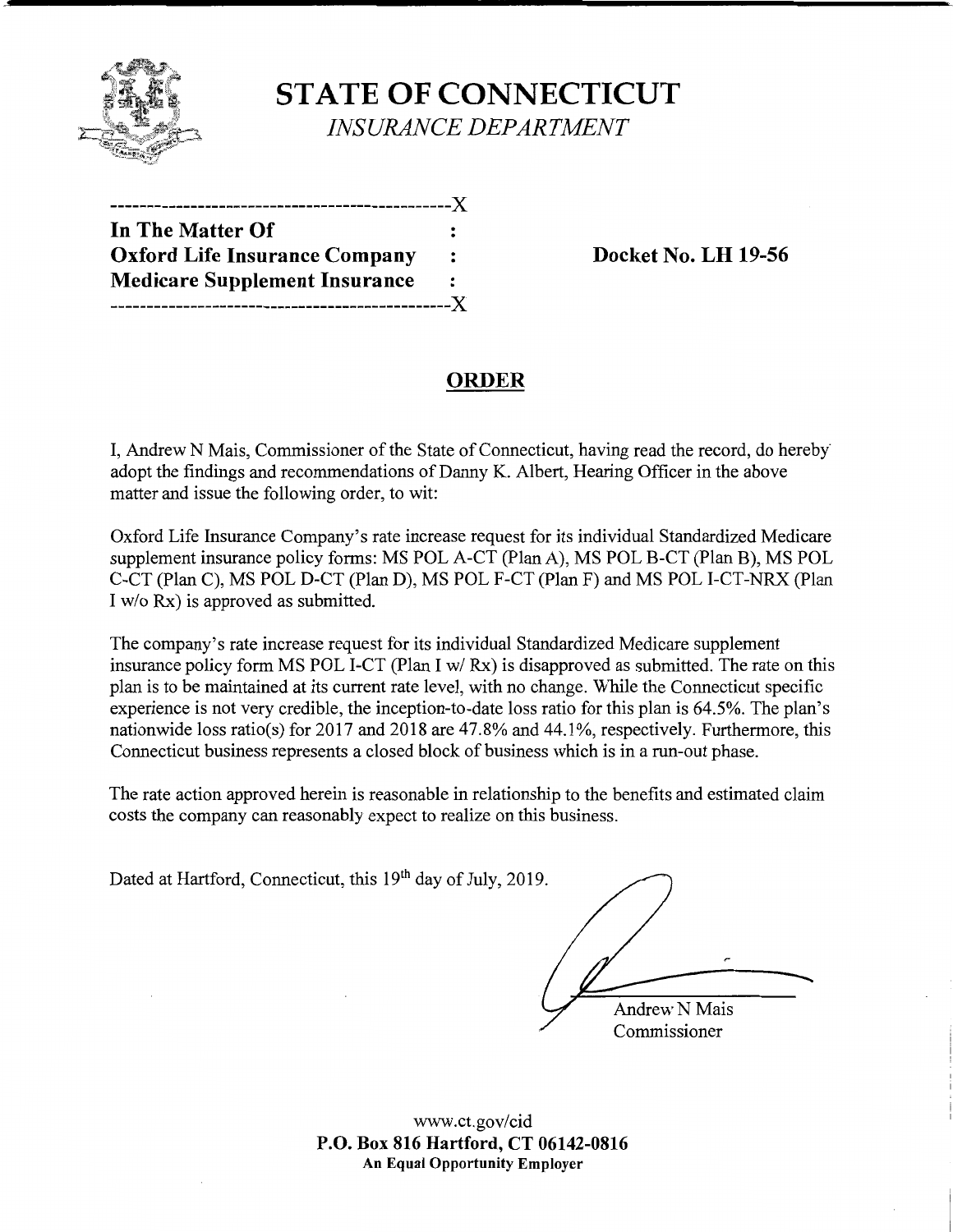

**STATE OF CONNECTICUT**  *INSURANCE DEPARTMENT* 

| ---------------                      |   |
|--------------------------------------|---|
| In The Matter Of                     |   |
| <b>Oxford Life Insurance Company</b> | : |
| <b>Medicare Supplement Insurance</b> | : |
| -------------                        |   |

**Docket No. LH 19-56** 

# **ORDER**

I, Andrew N Mais, Commissioner of the State of Connecticut, having read the record, do hereby" adopt the findings and recommendations of Danny K. Albert, Hearing Officer in the above matter and issue the following order, to wit:

Oxford Life Insurance Company's rate increase request for its individual Standardized Medicare supplement insurance policy forms: MS POL A-CT (Plan A), MS POL B-CT (Plan B), MS POL C-CT (Plan C), MS POL D-CT (Plan D), MS POL F-CT (Plan F) and MS POL I-CT-NRX (Plan I w/o Rx) is approved as submitted.

The company's rate increase request for its individual Standardized Medicare supplement insurance policy form MS POL I-CT (Plan I w/ Rx) is disapproved as submitted. The rate on this plan is to be maintained at its current rate level, with no change. While the Connecticut specific experience is not very credible, the inception-to-date loss ratio for this plan is 64.5%. The plan's nationwide loss ratio(s) for 2017 and 2018 are 47.8% and 44.1%, respectively. Furthermore, this Connecticut business represents a closed block of business which is in a run-out phase.

The rate action approved herein is reasonable in relationship to the benefits and estimated claim costs the company can reasonably expect to realize on this business.

Dated at Hartford, Connecticut, this 19<sup>th</sup> day of July, 2019.

**Andrew N Mais** Commissioner

www.ct.gov/cid **P.O. Box 816 Hartford, CT 06142-0816 An Equal Opportunity Employer**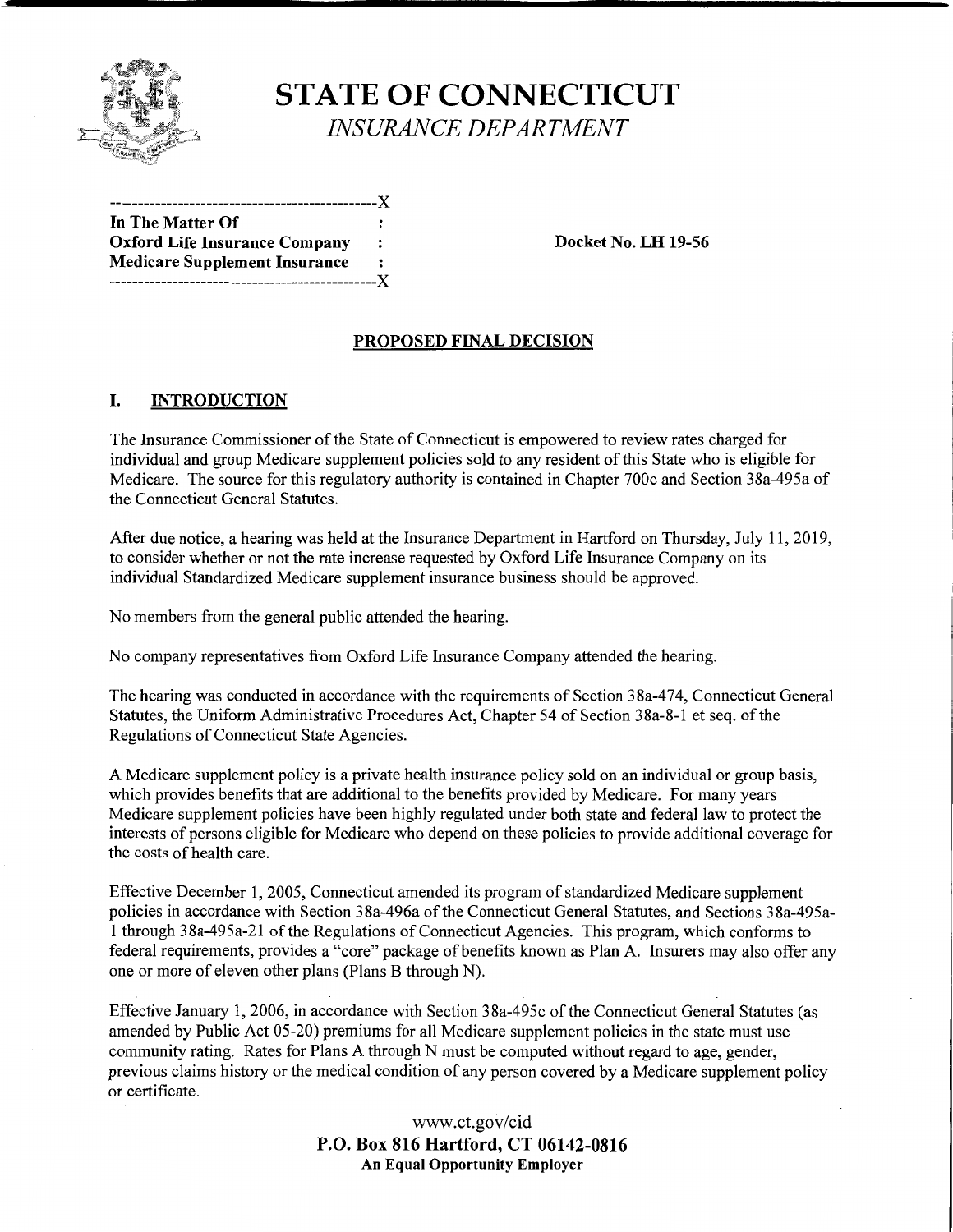

# **STATE OF CONNECTICUT**  *INSURANCE DEPARTMENT*

| In The Matter Of                     |   |
|--------------------------------------|---|
| <b>Oxford Life Insurance Company</b> | : |
| <b>Medicare Supplement Insurance</b> |   |
| -------------------------X           |   |

**Docket No. LH 19-56** 

## **PROPOSED FINAL DECISION**

## I. **INTRODUCTION**

The Insurance Commissioner of the State of Connecticut is empowered to review rates charged for individual and group Medicare supplement policies sold to any resident of this State who is eligible for Medicare. The source for this regulatory authority is contained in Chapter 700c and Section 3 8a-495a of the Connecticut General Statutes.

After due notice, a hearing was held at the Insurance Department in Hartford on Thursday, July 11, 2019, to consider whether or not the rate increase requested by Oxford Life Insurance Company on its individual Standardized Medicare supplement insurance business should be approved.

No members from the general public attended the hearing.

No company representatives from Oxford Life Insurance Company attended the hearing.

The hearing was conducted in accordance with the requirements of Section 38a-474, Connecticut General Statutes, the Uniform Administrative Procedures Act, Chapter 54 of Section 38a-8-l et seq. of the Regulations of Connecticut State Agencies.

A Medicare supplement policy is a private health insurance policy sold on an individual or group basis, which provides benefits that are additional to the benefits provided by Medicare. For many years Medicare supplement policies have been highly regulated under both state and federal law to protect the interests of persons eligible for Medicare who depend on these policies to provide additional coverage for the costs of health care.

Effective December 1, 2005, Connecticut amended its program of standardized Medicare supplement policies in accordance with Section 38a-496a of the Connecticut General Statutes, and Sections 38a-495a-1 through 3 8a-495a-21 of the Regulations of Connecticut Agencies. This program, which conforms to federal requirements, provides a "core" package of benefits known as Plan A. Insurers may also offer any one or more of eleven other plans (Plans B through N).

Effective January 1, 2006, in accordance with Section 38a-495c of the Connecticut General Statutes (as amended by Public Act 05-20) premiums for all Medicare supplement policies in the state must use community rating. Rates for Plans A through N must be computed without regard to age, gender, previous claims history or the medical condition of any person covered by a Medicare supplement policy or certificate.

> www.ct.gov/cid **P.O. Box 816 Hartford, CT 06142-0816 An Equal Opportunity Employer**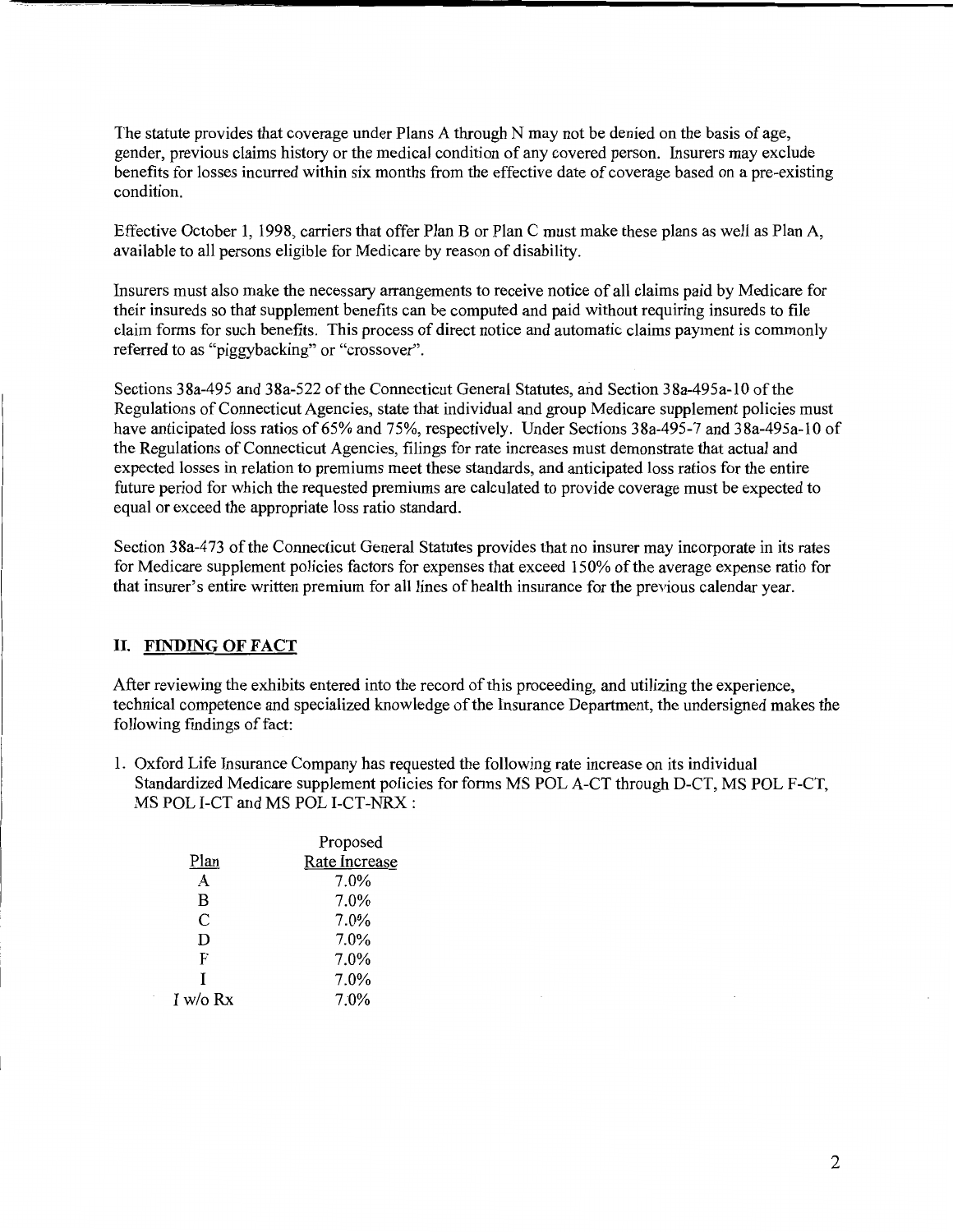The statute provides that coverage under Plans A through N may not be denied on the basis of age, gender, previous claims history or the medical condition of any covered person. Insurers may exclude benefits for losses incurred within six months from the effective date of coverage based on a pre-existing condition.

Effective October 1, 1998, carriers that offer Plan B or Plan C must make these plans as well as Plan A, available to all persons eligible for Medicare by reason of disability.

Insurers must also make the necessary arrangements to receive notice of all claims paid by Medicare for their insureds so that supplement benefits can be computed and paid without requiring insureds to file claim forms for such benefits. This process of direct notice and automatic claims payment is commonly referred to as "piggybacking" or "crossover".

Sections 38a-495 and 38a-522 of the Connecticut General Statutes, and Section 38a-495a-10 of the Regulations of Connecticut Agencies, state that individual and group Medicare supplement policies must have anticipated loss ratios of 65% and 75%, respectively. Under Sections 38a-495-7 and 38a-495a-10 of the Regulations of Connecticut Agencies, filings for rate increases must demonstrate that actual and expected losses in relation to premiums meet these standards, and anticipated loss ratios for the entire future period for which the requested premiums are calculated to provide coverage must be expected to equal or exceed the appropriate loss ratio standard.

Section 3 8a-4 73 of the Connecticut General Statutes provides that no insurer may incorporate in its rates for Medicare supplement policies factors for expenses that exceed 150% of the average expense ratio for that insurer's entire written premium for all lines of health insurance for the previous calendar year.

#### II. **FINDING OF FACT**

After reviewing the exhibits entered into the record of this proceeding, and utilizing the experience, technical competence and specialized knowledge of the Insurance Department, the undersigned makes the following findings of fact:

1. Oxford Life Insurance Company has requested the following rate increase on its individual Standardized Medicare supplement policies for forms MS POL A-CT through D-CT, MS POL F-CT, MS POL I-CT and MS POL I-CT-NRX:

|            | Proposed      |
|------------|---------------|
| Plan       | Rate Increase |
| A          | 7.0%          |
| B          | 7.0%          |
| C          | 7.0%          |
| D          | 7.0%          |
| F          | 7.0%          |
| T          | 7.0%          |
| I w/o $Rx$ | 7.0%          |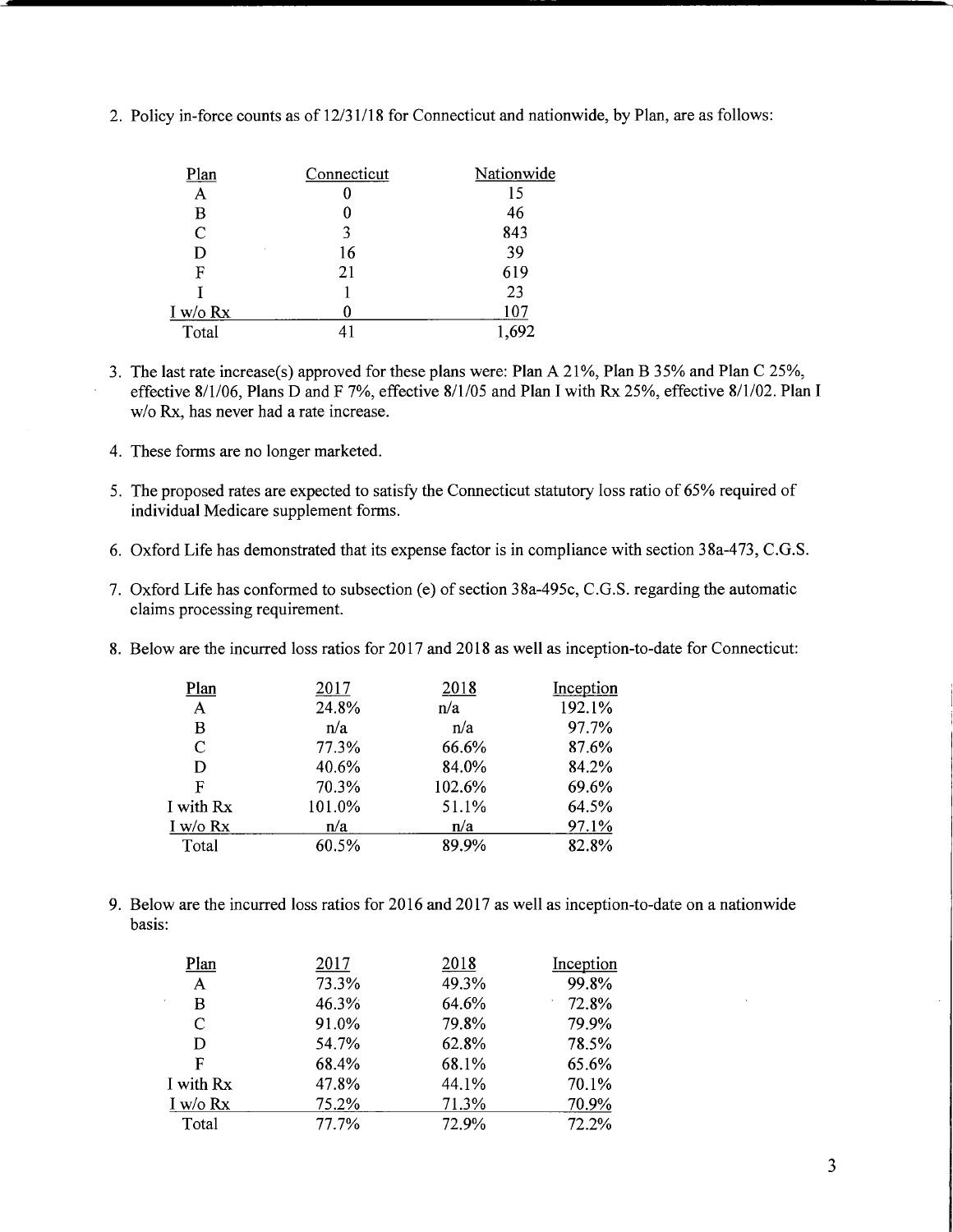| Plan                        | Connecticut | Nationwide |
|-----------------------------|-------------|------------|
| A                           | O           | 15         |
| в                           | 0           | 46         |
| $\mathcal{C}_{\mathcal{C}}$ | 3           | 843        |
| k.<br>D                     | 16          | 39         |
| F                           | 21          | 619        |
|                             |             | 23         |
| I w/o Rx                    |             | 107        |
| Total                       |             |            |

2. Policy in-force counts as of 12/31/18 for Connecticut and nationwide, by Plan, are as follows:

- 3. The last rate increase(s) approved for these plans were: Plan A 21%, Plan B 35% and Plan C 25%, effective 8/1/06, Plans D and F 7%, effective 8/1/05 and Plan I with Rx 25%, effective 8/1/02. Plan I w/o Rx, has never had a rate increase.
- 4. These forms are no longer marketed.
- 5. The proposed rates are expected to satisfy the Connecticut statutory loss ratio of 65% required of individual Medicare supplement forms.
- 6. Oxford Life has demonstrated that its expense factor is in compliance with section 38a-473, C.G.S.
- 7. Oxford Life has conformed to subsection (e) of section 38a-495c, C.G.S. regarding the automatic claims processing requirement.
- 8. Below are the incurred loss ratios for 2017 and 2018 as well as inception-to-date for Connecticut:

| Plan          | 2017   | 2018   | Inception |
|---------------|--------|--------|-----------|
| A             | 24.8%  | n/a    | 192.1%    |
| B             | n/a    | n/a    | 97.7%     |
| $\mathcal{C}$ | 77.3%  | 66.6%  | 87.6%     |
| D             | 40.6%  | 84.0%  | 84.2%     |
| F             | 70.3%  | 102.6% | 69.6%     |
| I with Rx     | 101.0% | 51.1%  | 64.5%     |
| I w/o $Rx$    | n/a    | n/a    | 97.1%     |
| Total         | 60.5%  | 89.9%  | 82.8%     |

9. Below are the incurred loss ratios for 2016 and 2017 as well as inception-to-date on a nationwide basis:

| Plan         | 2017  | 2018  | Inception |
|--------------|-------|-------|-----------|
| A            | 73.3% | 49.3% | 99.8%     |
| B            | 46.3% | 64.6% | 72.8%     |
| C            | 91.0% | 79.8% | 79.9%     |
| D            | 54.7% | 62.8% | 78.5%     |
| F            | 68.4% | 68.1% | 65.6%     |
| I with Rx    | 47.8% | 44.1% | 70.1%     |
| $I$ w/o $Rx$ | 75.2% | 71.3% | 70.9%     |
| Total        | 77.7% | 72.9% | 72.2%     |